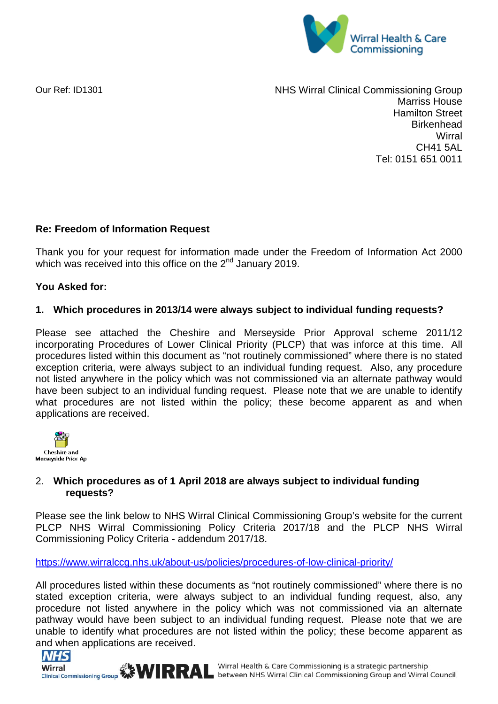

Our Ref: [ID1301](mailto:foirequests.nhswirralccg@nhs.net) 

NHS Wirral Clinical Commissioning Group Marriss House Hamilton Street **Birkenhead Wirral** CH41 5AL Tel: 0151 651 0011

## **Re: Freedom of Information Request**

Thank you for your request for information made under the Freedom of Information Act 2000 which was received into this office on the 2<sup>nd</sup> January 2019.

## **You Asked for:**

## **1. Which procedures in 2013/14 were always subject to individual funding requests?**

Please see attached the Cheshire and Merseyside Prior Approval scheme 2011/12 incorporating Procedures of Lower Clinical Priority (PLCP) that was inforce at this time. All procedures listed within this document as "not routinely commissioned" where there is no stated exception criteria, were always subject to an individual funding request. Also, any procedure not listed anywhere in the policy which was not commissioned via an alternate pathway would have been subject to an individual funding request. Please note that we are unable to identify what procedures are not listed within the policy; these become apparent as and when applications are received.



# 2. **Which procedures as of 1 April 2018 are always subject to individual funding requests?**

Please see the link below to NHS Wirral Clinical Commissioning Group's website for the current PLCP NHS Wirral Commissioning Policy Criteria 2017/18 and the PLCP NHS Wirral Commissioning Policy Criteria - addendum 2017/18.

<https://www.wirralccg.nhs.uk/about-us/policies/procedures-of-low-clinical-priority/>

All procedures listed within these documents as "not routinely commissioned" where there is no stated exception criteria, were always subject to an individual funding request, also, any procedure not listed anywhere in the policy which was not commissioned via an alternate pathway would have been subject to an individual funding request. Please note that we are unable to identify what procedures are not listed within the policy; these become apparent as and when applications are received.